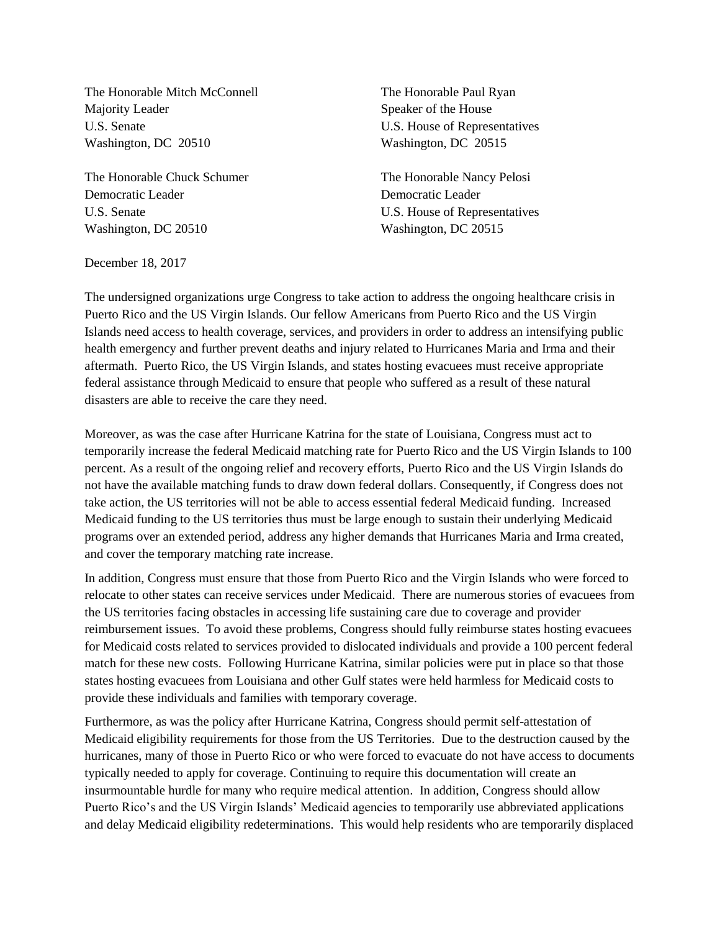The Honorable Mitch McConnell The Honorable Paul Ryan Majority Leader Speaker of the House U.S. Senate U.S. House of Representatives Washington, DC 20510 Washington, DC 20515

The Honorable Chuck Schumer The Honorable Nancy Pelosi Democratic Leader Democratic Leader U.S. Senate U.S. House of Representatives Washington, DC 20510 Washington, DC 20515

December 18, 2017

The undersigned organizations urge Congress to take action to address the ongoing healthcare crisis in Puerto Rico and the US Virgin Islands. Our fellow Americans from Puerto Rico and the US Virgin Islands need access to health coverage, services, and providers in order to address an intensifying public health emergency and further prevent deaths and injury related to Hurricanes Maria and Irma and their aftermath. Puerto Rico, the US Virgin Islands, and states hosting evacuees must receive appropriate federal assistance through Medicaid to ensure that people who suffered as a result of these natural disasters are able to receive the care they need.

Moreover, as was the case after Hurricane Katrina for the state of Louisiana, Congress must act to temporarily increase the federal Medicaid matching rate for Puerto Rico and the US Virgin Islands to 100 percent. As a result of the ongoing relief and recovery efforts, Puerto Rico and the US Virgin Islands do not have the available matching funds to draw down federal dollars. Consequently, if Congress does not take action, the US territories will not be able to access essential federal Medicaid funding. Increased Medicaid funding to the US territories thus must be large enough to sustain their underlying Medicaid programs over an extended period, address any higher demands that Hurricanes Maria and Irma created, and cover the temporary matching rate increase.

In addition, Congress must ensure that those from Puerto Rico and the Virgin Islands who were forced to relocate to other states can receive services under Medicaid. There are numerous stories of evacuees from the US territories facing obstacles in accessing life sustaining care due to coverage and provider reimbursement issues. To avoid these problems, Congress should fully reimburse states hosting evacuees for Medicaid costs related to services provided to dislocated individuals and provide a 100 percent federal match for these new costs. Following Hurricane Katrina, similar policies were put in place so that those states hosting evacuees from Louisiana and other Gulf states were held harmless for Medicaid costs to provide these individuals and families with temporary coverage.

Furthermore, as was the policy after Hurricane Katrina, Congress should permit self-attestation of Medicaid eligibility requirements for those from the US Territories. Due to the destruction caused by the hurricanes, many of those in Puerto Rico or who were forced to evacuate do not have access to documents typically needed to apply for coverage. Continuing to require this documentation will create an insurmountable hurdle for many who require medical attention. In addition, Congress should allow Puerto Rico's and the US Virgin Islands' Medicaid agencies to temporarily use abbreviated applications and delay Medicaid eligibility redeterminations. This would help residents who are temporarily displaced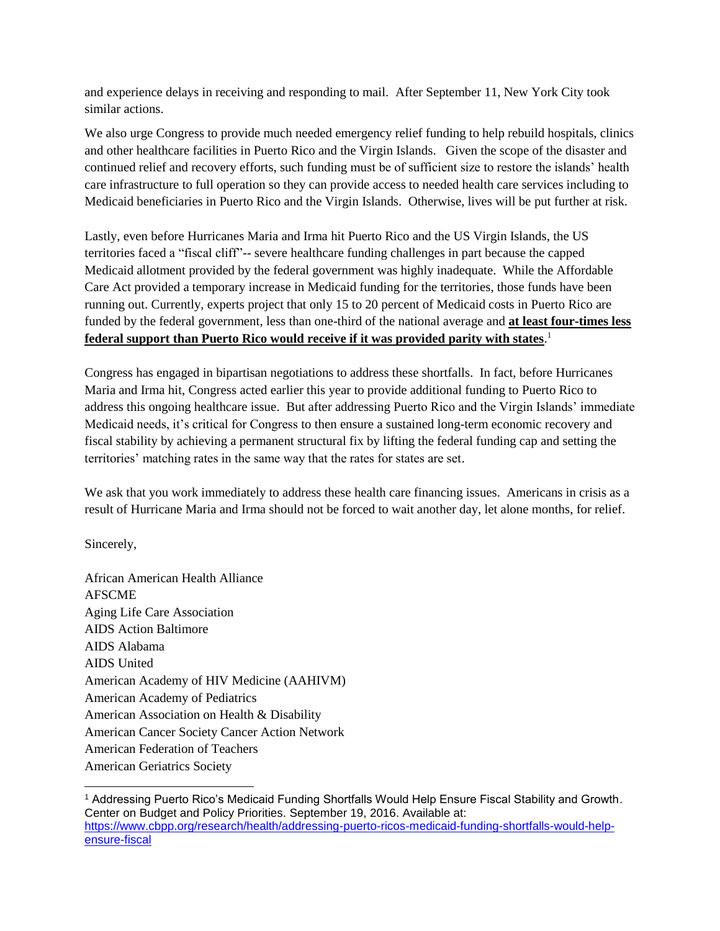and experience delays in receiving and responding to mail. After September 11, New York City took similar actions.

We also urge Congress to provide much needed emergency relief funding to help rebuild hospitals, clinics and other healthcare facilities in Puerto Rico and the Virgin Islands. Given the scope of the disaster and continued relief and recovery efforts, such funding must be of sufficient size to restore the islands' health care infrastructure to full operation so they can provide access to needed health care services including to Medicaid beneficiaries in Puerto Rico and the Virgin Islands. Otherwise, lives will be put further at risk.

Lastly, even before Hurricanes Maria and Irma hit Puerto Rico and the US Virgin Islands, the US territories faced a "fiscal cliff"-- severe healthcare funding challenges in part because the capped Medicaid allotment provided by the federal government was highly inadequate. While the Affordable Care Act provided a temporary increase in Medicaid funding for the territories, those funds have been running out. Currently, experts project that only 15 to 20 percent of Medicaid costs in Puerto Rico are funded by the federal government, less than one-third of the national average and **at least four-times less federal support than Puerto Rico would receive if it was provided parity with states**. 1

Congress has engaged in bipartisan negotiations to address these shortfalls. In fact, before Hurricanes Maria and Irma hit, Congress acted earlier this year to provide additional funding to Puerto Rico to address this ongoing healthcare issue. But after addressing Puerto Rico and the Virgin Islands' immediate Medicaid needs, it's critical for Congress to then ensure a sustained long-term economic recovery and fiscal stability by achieving a permanent structural fix by lifting the federal funding cap and setting the territories' matching rates in the same way that the rates for states are set.

We ask that you work immediately to address these health care financing issues. Americans in crisis as a result of Hurricane Maria and Irma should not be forced to wait another day, let alone months, for relief.

Sincerely,

African American Health Alliance AFSCME Aging Life Care Association AIDS Action Baltimore AIDS Alabama AIDS United American Academy of HIV Medicine (AAHIVM) American Academy of Pediatrics American Association on Health & Disability American Cancer Society Cancer Action Network American Federation of Teachers American Geriatrics Society

<sup>1</sup> Addressing Puerto Rico's Medicaid Funding Shortfalls Would Help Ensure Fiscal Stability and Growth. Center on Budget and Policy Priorities. September 19, 2016. Available at: [https://www.cbpp.org/research/health/addressing-puerto-ricos-medicaid-funding-shortfalls-would-help](https://www.cbpp.org/research/health/addressing-puerto-ricos-medicaid-funding-shortfalls-would-help-ensure-fiscal)[ensure-fiscal](https://www.cbpp.org/research/health/addressing-puerto-ricos-medicaid-funding-shortfalls-would-help-ensure-fiscal)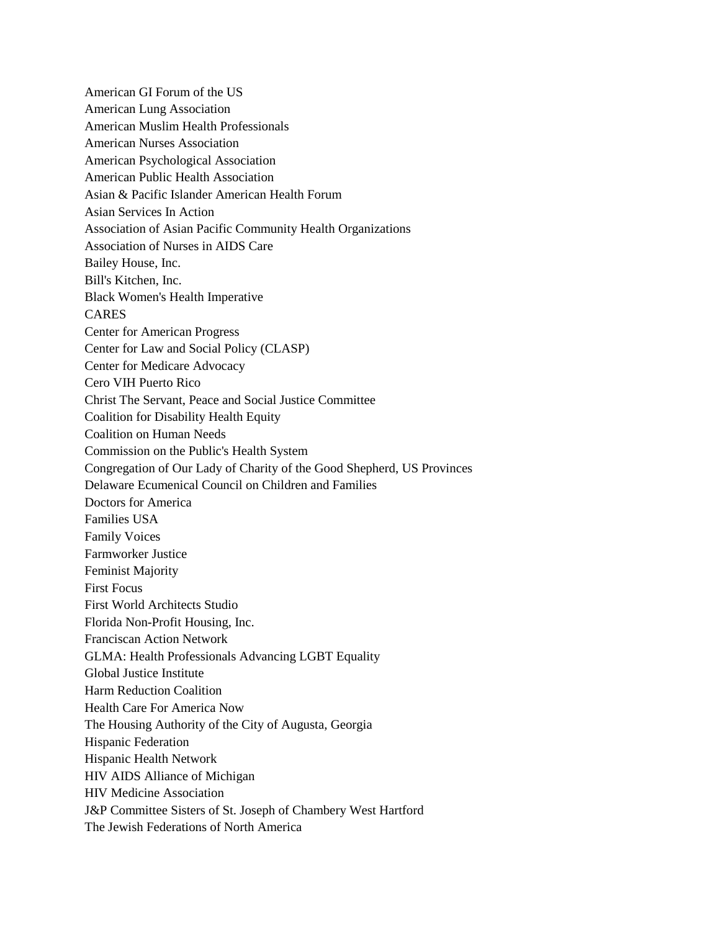American GI Forum of the US American Lung Association American Muslim Health Professionals American Nurses Association American Psychological Association American Public Health Association Asian & Pacific Islander American Health Forum Asian Services In Action Association of Asian Pacific Community Health Organizations Association of Nurses in AIDS Care Bailey House, Inc. Bill's Kitchen, Inc. Black Women's Health Imperative CARES Center for American Progress Center for Law and Social Policy (CLASP) Center for Medicare Advocacy Cero VIH Puerto Rico Christ The Servant, Peace and Social Justice Committee Coalition for Disability Health Equity Coalition on Human Needs Commission on the Public's Health System Congregation of Our Lady of Charity of the Good Shepherd, US Provinces Delaware Ecumenical Council on Children and Families Doctors for America Families USA Family Voices Farmworker Justice Feminist Majority First Focus First World Architects Studio Florida Non-Profit Housing, Inc. Franciscan Action Network GLMA: Health Professionals Advancing LGBT Equality Global Justice Institute Harm Reduction Coalition Health Care For America Now The Housing Authority of the City of Augusta, Georgia Hispanic Federation Hispanic Health Network HIV AIDS Alliance of Michigan HIV Medicine Association J&P Committee Sisters of St. Joseph of Chambery West Hartford The Jewish Federations of North America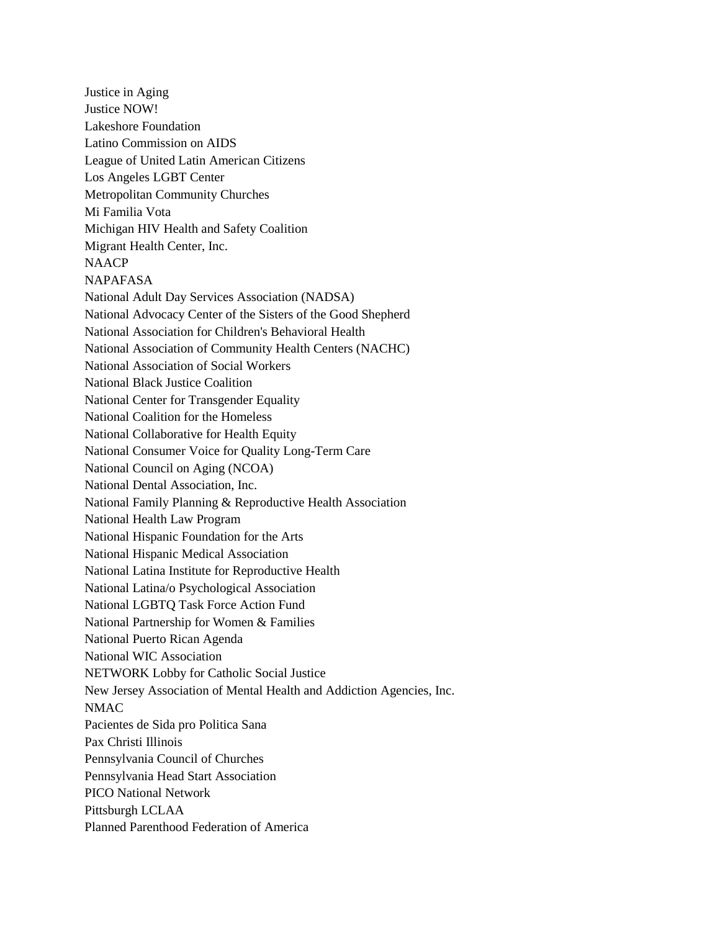Justice in Aging Justice NOW! Lakeshore Foundation Latino Commission on AIDS League of United Latin American Citizens Los Angeles LGBT Center Metropolitan Community Churches Mi Familia Vota Michigan HIV Health and Safety Coalition Migrant Health Center, Inc. **NAACP** NAPAFASA National Adult Day Services Association (NADSA) National Advocacy Center of the Sisters of the Good Shepherd National Association for Children's Behavioral Health National Association of Community Health Centers (NACHC) National Association of Social Workers National Black Justice Coalition National Center for Transgender Equality National Coalition for the Homeless National Collaborative for Health Equity National Consumer Voice for Quality Long-Term Care National Council on Aging (NCOA) National Dental Association, Inc. National Family Planning & Reproductive Health Association National Health Law Program National Hispanic Foundation for the Arts National Hispanic Medical Association National Latina Institute for Reproductive Health National Latina/o Psychological Association National LGBTQ Task Force Action Fund National Partnership for Women & Families National Puerto Rican Agenda National WIC Association NETWORK Lobby for Catholic Social Justice New Jersey Association of Mental Health and Addiction Agencies, Inc. NMAC Pacientes de Sida pro Politica Sana Pax Christi Illinois Pennsylvania Council of Churches Pennsylvania Head Start Association PICO National Network Pittsburgh LCLAA Planned Parenthood Federation of America